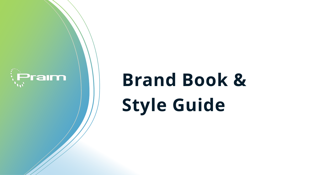

# **Brand Book & Style Guide**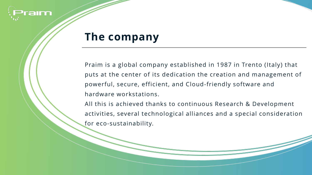

#### **The company**

Praim is a global company established in 1987 in Trento (Italy) that puts at the center of its dedication the creation and management of powerful, secure, efficient, and Cloud-friendly software and hardware workstations.

All this is achieved thanks to continuous Research & Development activities, several technological alliances and a special consideration for eco-sustainability.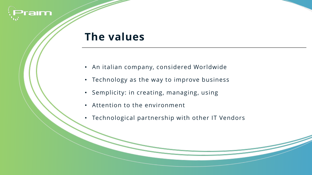

#### **The values**

- An italian company, considered Worldwide
- Technology as the way to improve business
- Semplicity: in creating, managing, using
- Attention to the environment
- Technological partnership with other IT Vendors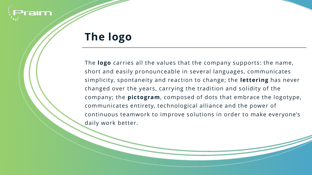

# **The logo**

The **logo** carries all the values that the company supports: the name, short and easily pronounceable in several languages, communicates simplicity, spontaneity and reaction to change; the **lettering** has never changed over the years, carrying the tradition and solidity of the company; the **pictogram**, composed of dots that embrace the logotype, communicates entirety, technological alliance and the power of continuous teamwork to improve solutions in order to make everyone's daily work better.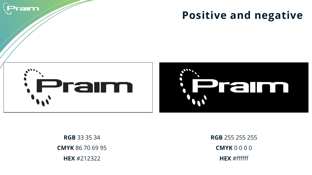

## **Positive and negative**



**RGB** 33 35 34 **CMYK** 86 70 69 95 **HEX** #212322

**RGB** 255 255 255 **CMYK** 0 0 0 0 **HEX** #ffffff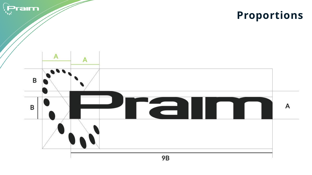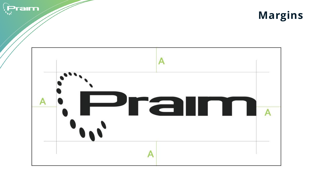



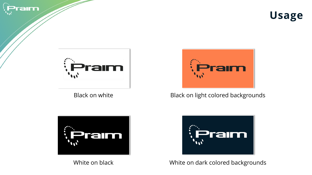







Black on white Black on light colored backgrounds





White on black White on dark colored backgrounds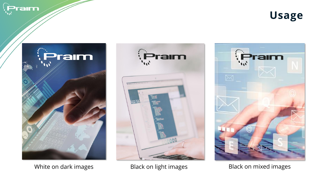Praim









White on dark images **Black on light images** Black on mixed images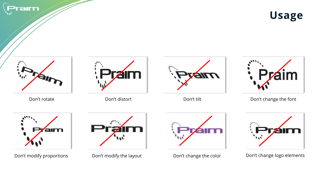

**Usage**









Don't rotate **Don't distort** Don't distort Don't tilt **Don't change the font** 









Don't modify proportions Don't modify the layout Don't change the color Don't change logo elements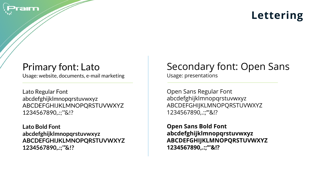

# **Lettering**

#### Primary font: Lato

Usage: website, documents, e-mail marketing

Lato Regular Font abcdefghijklmnopqrstuvwxyz ABCDEFGHIJKLMNOPQRSTUVWXYZ 1234567890,.:;'"&!?

**Lato Bold Font abcdefghijklmnopqrstuvwxyz ABCDEFGHIJKLMNOPQRSTUVWXYZ 1234567890,.:;'"&!?**

## Secondary font: Open Sans

Usage: presentations

Open Sans Regular Font abcdefghijklmnopqrstuvwxyz ABCDEFGHIJKLMNOPQRSTUVWXYZ 1234567890,.:;'"&!?

**Open Sans Bold Font abcdefghijklmnopqrstuvwxyz ABCDEFGHIJKLMNOPQRSTUVWXYZ 1234567890,.:;'"&!?**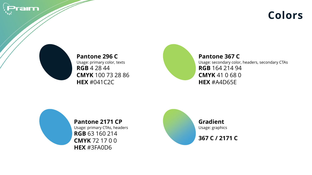

#### **Colors**



**Pantone 296 C** Usage: primary color, texts **RGB** 4 28 44 **CMYK** 100 73 28 86 **HEX** #041C2C

**Pantone 367 C** Usage: secondary color, headers, secondary CTAs **RGB** 164 214 94 **CMYK** 41 0 68 0 **HEX** #A4D65E